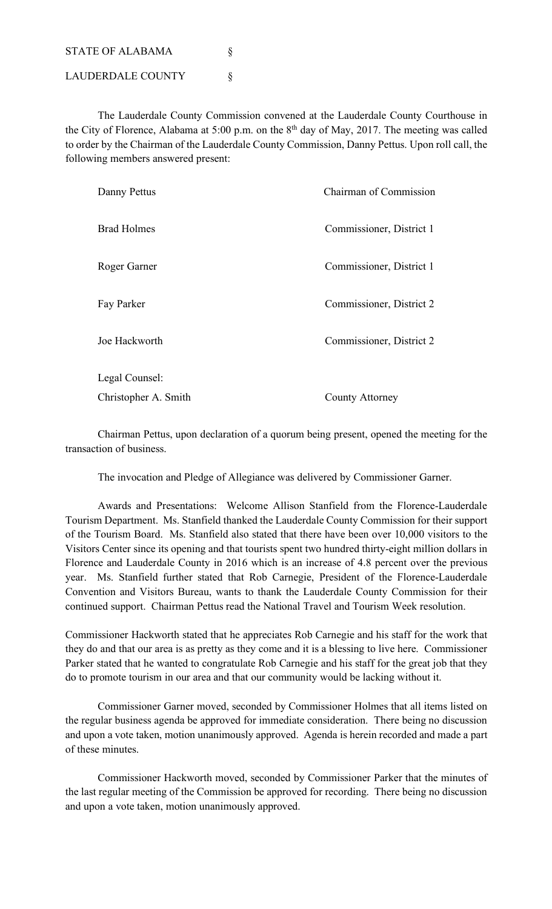STATE OF ALABAMA § LAUDERDALE COUNTY  $\S$ 

The Lauderdale County Commission convened at the Lauderdale County Courthouse in the City of Florence, Alabama at 5:00 p.m. on the 8<sup>th</sup> day of May, 2017. The meeting was called to order by the Chairman of the Lauderdale County Commission, Danny Pettus. Upon roll call, the following members answered present:

| Danny Pettus         | Chairman of Commission   |  |
|----------------------|--------------------------|--|
| <b>Brad Holmes</b>   | Commissioner, District 1 |  |
| Roger Garner         | Commissioner, District 1 |  |
| Fay Parker           | Commissioner, District 2 |  |
| Joe Hackworth        | Commissioner, District 2 |  |
| Legal Counsel:       |                          |  |
| Christopher A. Smith | County Attorney          |  |

Chairman Pettus, upon declaration of a quorum being present, opened the meeting for the transaction of business.

The invocation and Pledge of Allegiance was delivered by Commissioner Garner.

Awards and Presentations: Welcome Allison Stanfield from the Florence-Lauderdale Tourism Department. Ms. Stanfield thanked the Lauderdale County Commission for their support of the Tourism Board. Ms. Stanfield also stated that there have been over 10,000 visitors to the Visitors Center since its opening and that tourists spent two hundred thirty-eight million dollars in Florence and Lauderdale County in 2016 which is an increase of 4.8 percent over the previous year. Ms. Stanfield further stated that Rob Carnegie, President of the Florence-Lauderdale Convention and Visitors Bureau, wants to thank the Lauderdale County Commission for their continued support. Chairman Pettus read the National Travel and Tourism Week resolution.

Commissioner Hackworth stated that he appreciates Rob Carnegie and his staff for the work that they do and that our area is as pretty as they come and it is a blessing to live here. Commissioner Parker stated that he wanted to congratulate Rob Carnegie and his staff for the great job that they do to promote tourism in our area and that our community would be lacking without it.

Commissioner Garner moved, seconded by Commissioner Holmes that all items listed on the regular business agenda be approved for immediate consideration. There being no discussion and upon a vote taken, motion unanimously approved. Agenda is herein recorded and made a part of these minutes.

Commissioner Hackworth moved, seconded by Commissioner Parker that the minutes of the last regular meeting of the Commission be approved for recording. There being no discussion and upon a vote taken, motion unanimously approved.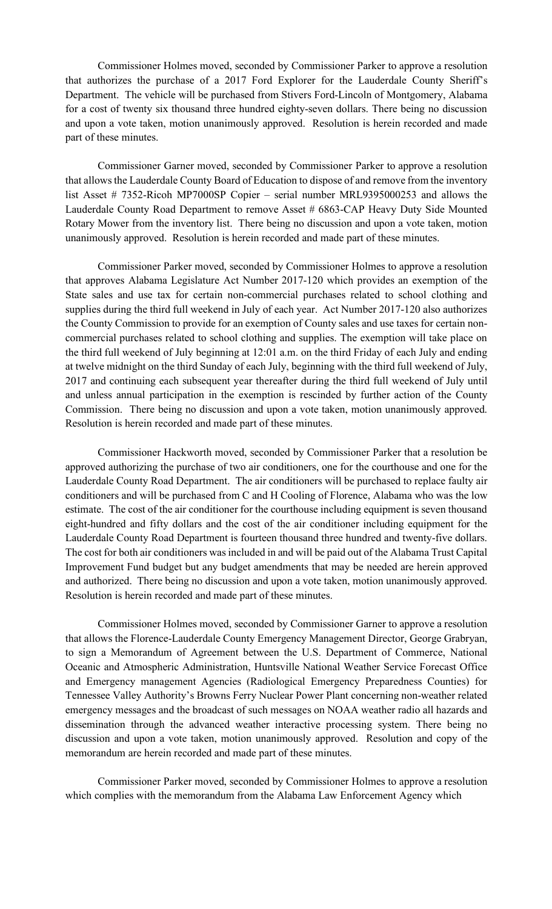Commissioner Holmes moved, seconded by Commissioner Parker to approve a resolution that authorizes the purchase of a 2017 Ford Explorer for the Lauderdale County Sheriff's Department. The vehicle will be purchased from Stivers Ford-Lincoln of Montgomery, Alabama for a cost of twenty six thousand three hundred eighty-seven dollars. There being no discussion and upon a vote taken, motion unanimously approved. Resolution is herein recorded and made part of these minutes.

Commissioner Garner moved, seconded by Commissioner Parker to approve a resolution that allows the Lauderdale County Board of Education to dispose of and remove from the inventory list Asset # 7352-Ricoh MP7000SP Copier – serial number MRL9395000253 and allows the Lauderdale County Road Department to remove Asset # 6863-CAP Heavy Duty Side Mounted Rotary Mower from the inventory list. There being no discussion and upon a vote taken, motion unanimously approved. Resolution is herein recorded and made part of these minutes.

Commissioner Parker moved, seconded by Commissioner Holmes to approve a resolution that approves Alabama Legislature Act Number 2017-120 which provides an exemption of the State sales and use tax for certain non-commercial purchases related to school clothing and supplies during the third full weekend in July of each year. Act Number 2017-120 also authorizes the County Commission to provide for an exemption of County sales and use taxes for certain noncommercial purchases related to school clothing and supplies. The exemption will take place on the third full weekend of July beginning at 12:01 a.m. on the third Friday of each July and ending at twelve midnight on the third Sunday of each July, beginning with the third full weekend of July, 2017 and continuing each subsequent year thereafter during the third full weekend of July until and unless annual participation in the exemption is rescinded by further action of the County Commission. There being no discussion and upon a vote taken, motion unanimously approved. Resolution is herein recorded and made part of these minutes.

Commissioner Hackworth moved, seconded by Commissioner Parker that a resolution be approved authorizing the purchase of two air conditioners, one for the courthouse and one for the Lauderdale County Road Department. The air conditioners will be purchased to replace faulty air conditioners and will be purchased from C and H Cooling of Florence, Alabama who was the low estimate. The cost of the air conditioner for the courthouse including equipment is seven thousand eight-hundred and fifty dollars and the cost of the air conditioner including equipment for the Lauderdale County Road Department is fourteen thousand three hundred and twenty-five dollars. The cost for both air conditioners was included in and will be paid out of the Alabama Trust Capital Improvement Fund budget but any budget amendments that may be needed are herein approved and authorized. There being no discussion and upon a vote taken, motion unanimously approved. Resolution is herein recorded and made part of these minutes.

Commissioner Holmes moved, seconded by Commissioner Garner to approve a resolution that allows the Florence-Lauderdale County Emergency Management Director, George Grabryan, to sign a Memorandum of Agreement between the U.S. Department of Commerce, National Oceanic and Atmospheric Administration, Huntsville National Weather Service Forecast Office and Emergency management Agencies (Radiological Emergency Preparedness Counties) for Tennessee Valley Authority's Browns Ferry Nuclear Power Plant concerning non-weather related emergency messages and the broadcast of such messages on NOAA weather radio all hazards and dissemination through the advanced weather interactive processing system. There being no discussion and upon a vote taken, motion unanimously approved. Resolution and copy of the memorandum are herein recorded and made part of these minutes.

Commissioner Parker moved, seconded by Commissioner Holmes to approve a resolution which complies with the memorandum from the Alabama Law Enforcement Agency which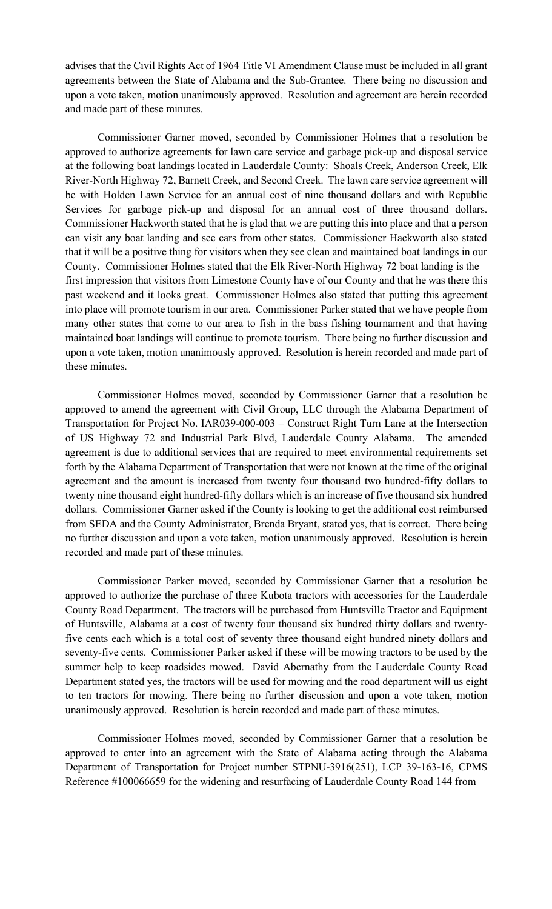advises that the Civil Rights Act of 1964 Title VI Amendment Clause must be included in all grant agreements between the State of Alabama and the Sub-Grantee. There being no discussion and upon a vote taken, motion unanimously approved. Resolution and agreement are herein recorded and made part of these minutes.

Commissioner Garner moved, seconded by Commissioner Holmes that a resolution be approved to authorize agreements for lawn care service and garbage pick-up and disposal service at the following boat landings located in Lauderdale County: Shoals Creek, Anderson Creek, Elk River-North Highway 72, Barnett Creek, and Second Creek. The lawn care service agreement will be with Holden Lawn Service for an annual cost of nine thousand dollars and with Republic Services for garbage pick-up and disposal for an annual cost of three thousand dollars. Commissioner Hackworth stated that he is glad that we are putting this into place and that a person can visit any boat landing and see cars from other states. Commissioner Hackworth also stated that it will be a positive thing for visitors when they see clean and maintained boat landings in our County. Commissioner Holmes stated that the Elk River-North Highway 72 boat landing is the first impression that visitors from Limestone County have of our County and that he was there this past weekend and it looks great. Commissioner Holmes also stated that putting this agreement into place will promote tourism in our area. Commissioner Parker stated that we have people from many other states that come to our area to fish in the bass fishing tournament and that having maintained boat landings will continue to promote tourism. There being no further discussion and upon a vote taken, motion unanimously approved. Resolution is herein recorded and made part of these minutes.

Commissioner Holmes moved, seconded by Commissioner Garner that a resolution be approved to amend the agreement with Civil Group, LLC through the Alabama Department of Transportation for Project No. IAR039-000-003 – Construct Right Turn Lane at the Intersection of US Highway 72 and Industrial Park Blvd, Lauderdale County Alabama. The amended agreement is due to additional services that are required to meet environmental requirements set forth by the Alabama Department of Transportation that were not known at the time of the original agreement and the amount is increased from twenty four thousand two hundred-fifty dollars to twenty nine thousand eight hundred-fifty dollars which is an increase of five thousand six hundred dollars. Commissioner Garner asked if the County is looking to get the additional cost reimbursed from SEDA and the County Administrator, Brenda Bryant, stated yes, that is correct. There being no further discussion and upon a vote taken, motion unanimously approved. Resolution is herein recorded and made part of these minutes.

Commissioner Parker moved, seconded by Commissioner Garner that a resolution be approved to authorize the purchase of three Kubota tractors with accessories for the Lauderdale County Road Department. The tractors will be purchased from Huntsville Tractor and Equipment of Huntsville, Alabama at a cost of twenty four thousand six hundred thirty dollars and twentyfive cents each which is a total cost of seventy three thousand eight hundred ninety dollars and seventy-five cents. Commissioner Parker asked if these will be mowing tractors to be used by the summer help to keep roadsides mowed. David Abernathy from the Lauderdale County Road Department stated yes, the tractors will be used for mowing and the road department will us eight to ten tractors for mowing. There being no further discussion and upon a vote taken, motion unanimously approved. Resolution is herein recorded and made part of these minutes.

Commissioner Holmes moved, seconded by Commissioner Garner that a resolution be approved to enter into an agreement with the State of Alabama acting through the Alabama Department of Transportation for Project number STPNU-3916(251), LCP 39-163-16, CPMS Reference #100066659 for the widening and resurfacing of Lauderdale County Road 144 from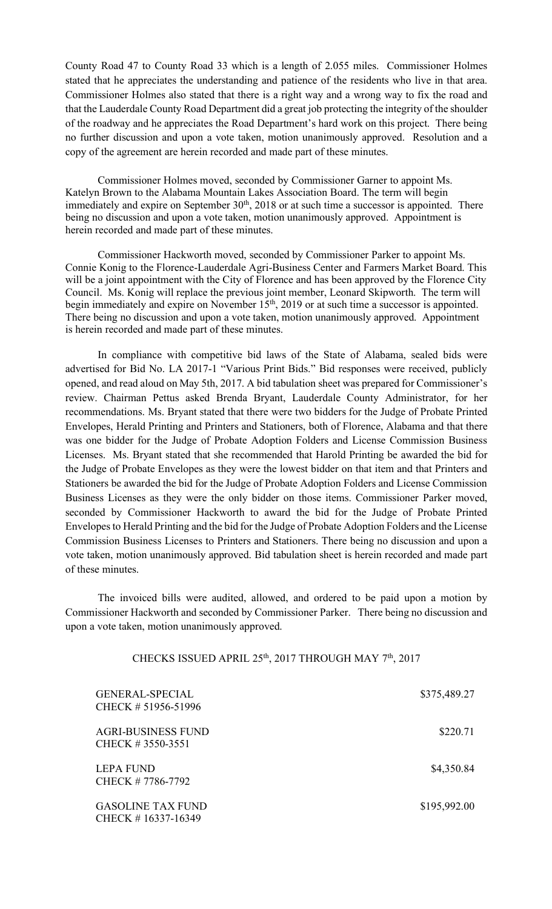County Road 47 to County Road 33 which is a length of 2.055 miles. Commissioner Holmes stated that he appreciates the understanding and patience of the residents who live in that area. Commissioner Holmes also stated that there is a right way and a wrong way to fix the road and that the Lauderdale County Road Department did a great job protecting the integrity of the shoulder of the roadway and he appreciates the Road Department's hard work on this project. There being no further discussion and upon a vote taken, motion unanimously approved. Resolution and a copy of the agreement are herein recorded and made part of these minutes.

Commissioner Holmes moved, seconded by Commissioner Garner to appoint Ms. Katelyn Brown to the Alabama Mountain Lakes Association Board. The term will begin immediately and expire on September 30<sup>th</sup>, 2018 or at such time a successor is appointed. There being no discussion and upon a vote taken, motion unanimously approved. Appointment is herein recorded and made part of these minutes.

Commissioner Hackworth moved, seconded by Commissioner Parker to appoint Ms. Connie Konig to the Florence-Lauderdale Agri-Business Center and Farmers Market Board. This will be a joint appointment with the City of Florence and has been approved by the Florence City Council. Ms. Konig will replace the previous joint member, Leonard Skipworth. The term will begin immediately and expire on November 15<sup>th</sup>, 2019 or at such time a successor is appointed. There being no discussion and upon a vote taken, motion unanimously approved. Appointment is herein recorded and made part of these minutes.

In compliance with competitive bid laws of the State of Alabama, sealed bids were advertised for Bid No. LA 2017-1 "Various Print Bids." Bid responses were received, publicly opened, and read aloud on May 5th, 2017. A bid tabulation sheet was prepared for Commissioner's review. Chairman Pettus asked Brenda Bryant, Lauderdale County Administrator, for her recommendations. Ms. Bryant stated that there were two bidders for the Judge of Probate Printed Envelopes, Herald Printing and Printers and Stationers, both of Florence, Alabama and that there was one bidder for the Judge of Probate Adoption Folders and License Commission Business Licenses. Ms. Bryant stated that she recommended that Harold Printing be awarded the bid for the Judge of Probate Envelopes as they were the lowest bidder on that item and that Printers and Stationers be awarded the bid for the Judge of Probate Adoption Folders and License Commission Business Licenses as they were the only bidder on those items. Commissioner Parker moved, seconded by Commissioner Hackworth to award the bid for the Judge of Probate Printed Envelopes to Herald Printing and the bid for the Judge of Probate Adoption Folders and the License Commission Business Licenses to Printers and Stationers. There being no discussion and upon a vote taken, motion unanimously approved. Bid tabulation sheet is herein recorded and made part of these minutes.

The invoiced bills were audited, allowed, and ordered to be paid upon a motion by Commissioner Hackworth and seconded by Commissioner Parker. There being no discussion and upon a vote taken, motion unanimously approved.

| CHECKS ISSUED APRIL 25 <sup>th</sup> , 2017 THROUGH MAY 7 <sup>th</sup> , 2017 |
|--------------------------------------------------------------------------------|
|                                                                                |

| <b>GENERAL-SPECIAL</b><br>CHECK # 51956-51996  | \$375,489.27 |
|------------------------------------------------|--------------|
| <b>AGRI-BUSINESS FUND</b><br>CHECK #3550-3551  | \$220.71     |
| <b>LEPA FUND</b><br>CHECK #7786-7792           | \$4,350.84   |
| <b>GASOLINE TAX FUND</b><br>CHECK #16337-16349 | \$195,992.00 |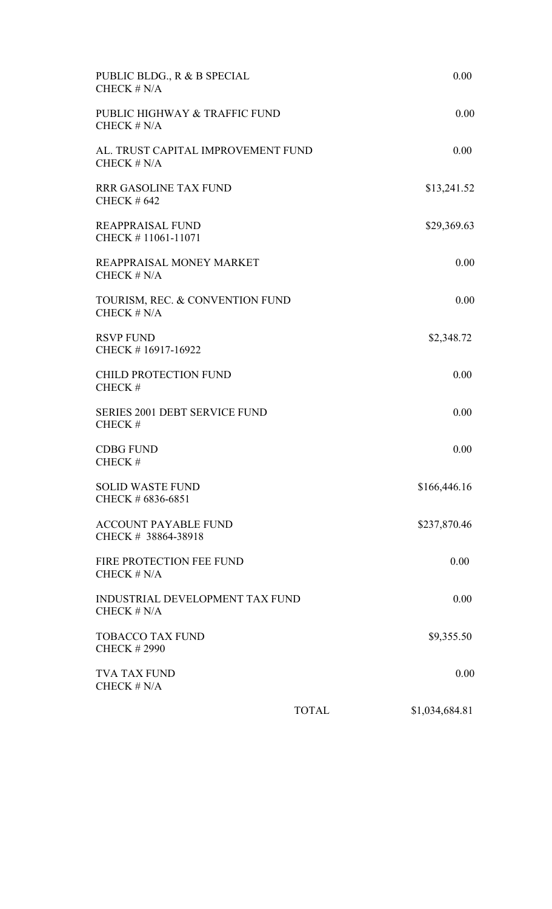| PUBLIC BLDG., R & B SPECIAL<br>CHECK $# N/A$        |              | 0.00           |
|-----------------------------------------------------|--------------|----------------|
| PUBLIC HIGHWAY & TRAFFIC FUND<br>CHECK $# N/A$      |              | 0.00           |
| AL. TRUST CAPITAL IMPROVEMENT FUND<br>CHECK $# N/A$ |              | 0.00           |
| <b>RRR GASOLINE TAX FUND</b><br><b>CHECK #642</b>   |              | \$13,241.52    |
| <b>REAPPRAISAL FUND</b><br>CHECK #11061-11071       |              | \$29,369.63    |
| REAPPRAISAL MONEY MARKET<br>CHECK $# N/A$           |              | 0.00           |
| TOURISM, REC. & CONVENTION FUND<br>CHECK $# N/A$    |              | 0.00           |
| <b>RSVP FUND</b><br>CHECK #16917-16922              |              | \$2,348.72     |
| <b>CHILD PROTECTION FUND</b><br>CHECK#              |              | 0.00           |
| <b>SERIES 2001 DEBT SERVICE FUND</b><br>CHECK#      |              | 0.00           |
| <b>CDBG FUND</b><br>CHECK#                          |              | 0.00           |
| <b>SOLID WASTE FUND</b><br>CHECK # 6836-6851        |              | \$166,446.16   |
| <b>ACCOUNT PAYABLE FUND</b><br>CHECK # 38864-38918  |              | \$237,870.46   |
| FIRE PROTECTION FEE FUND<br>CHECK $# N/A$           |              | 0.00           |
| INDUSTRIAL DEVELOPMENT TAX FUND<br>CHECK $# N/A$    |              | 0.00           |
| <b>TOBACCO TAX FUND</b><br><b>CHECK #2990</b>       |              | \$9,355.50     |
| <b>TVA TAX FUND</b><br>CHECK $\# N/A$               |              | 0.00           |
|                                                     | <b>TOTAL</b> | \$1,034,684.81 |